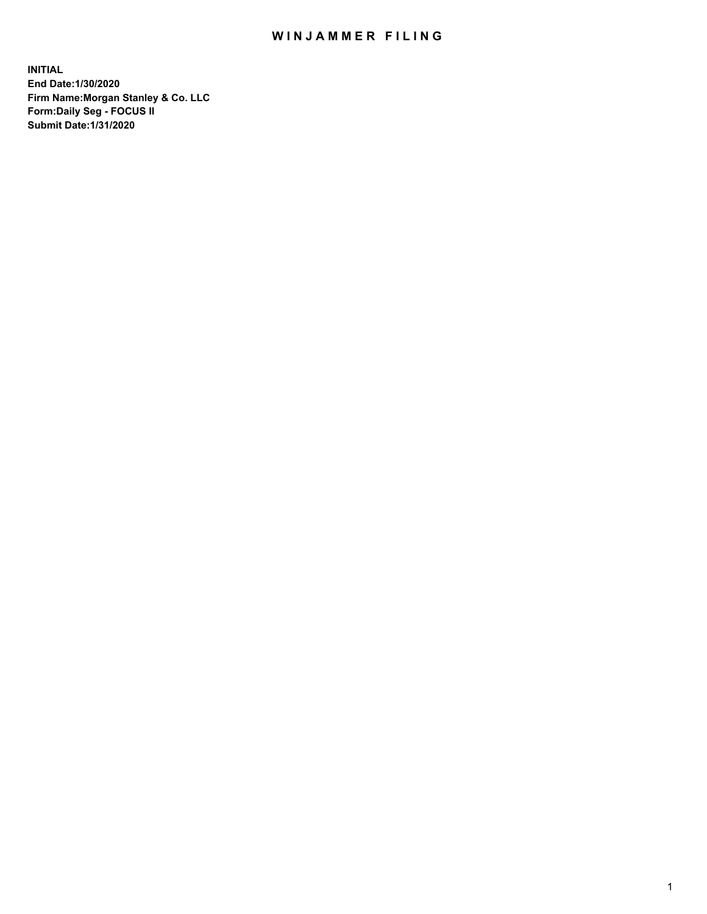# WIN JAMMER FILING

**INITIAL End Date:1/30/2020 Firm Name:Morgan Stanley & Co. LLC Form:Daily Seg - FOCUS II Submit Date:1/31/2020**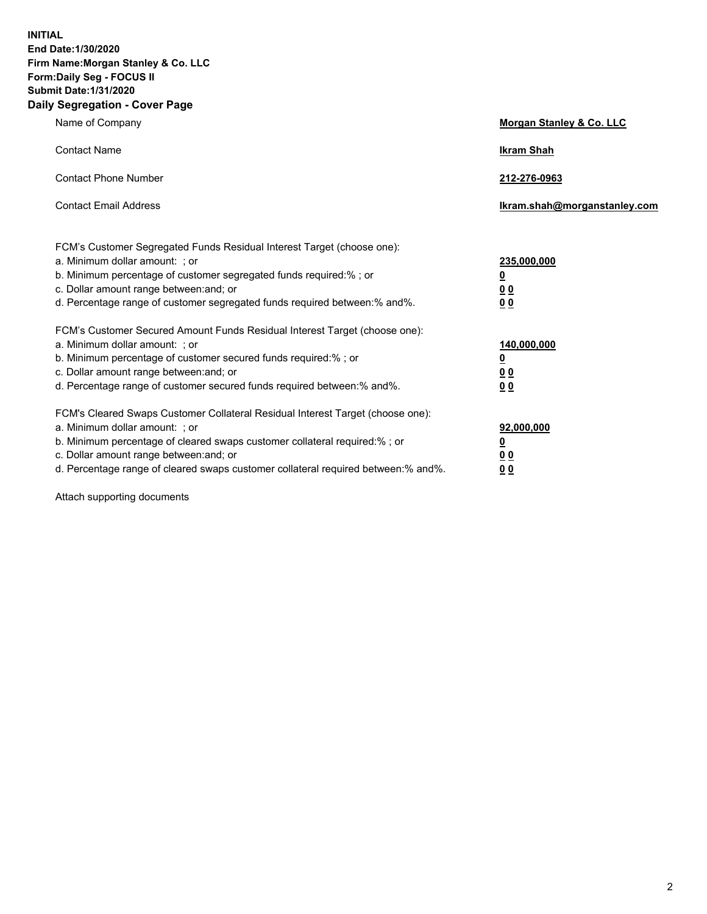**INITIAL End Date:1/30/2020 Firm Name:Morgan Stanley & Co. LLC Form:Daily Seg - FOCUS II Submit Date:1/31/2020 Daily Segregation - Cover Page**

| Name of Company                                                                   | Morgan Stanley & Co. LLC     |
|-----------------------------------------------------------------------------------|------------------------------|
| <b>Contact Name</b>                                                               | <b>Ikram Shah</b>            |
| <b>Contact Phone Number</b>                                                       | 212-276-0963                 |
| <b>Contact Email Address</b>                                                      | Ikram.shah@morganstanley.com |
| FCM's Customer Segregated Funds Residual Interest Target (choose one):            |                              |
| a. Minimum dollar amount: ; or                                                    | 235,000,000                  |
| b. Minimum percentage of customer segregated funds required:% ; or                | <u>0</u>                     |
| c. Dollar amount range between: and; or                                           | 0 <sub>0</sub>               |
| d. Percentage range of customer segregated funds required between: % and %.       | 0 <sub>0</sub>               |
| FCM's Customer Secured Amount Funds Residual Interest Target (choose one):        |                              |
| a. Minimum dollar amount: ; or                                                    | 140,000,000                  |
| b. Minimum percentage of customer secured funds required:%; or                    | <u>0</u>                     |
| c. Dollar amount range between: and; or                                           | 0 <sub>0</sub>               |
| d. Percentage range of customer secured funds required between:% and%.            | 0 <sub>0</sub>               |
| FCM's Cleared Swaps Customer Collateral Residual Interest Target (choose one):    |                              |
| a. Minimum dollar amount: ; or                                                    | 92,000,000                   |
| b. Minimum percentage of cleared swaps customer collateral required:% ; or        | <u>0</u>                     |
| c. Dollar amount range between: and; or                                           | <u>00</u>                    |
| d. Percentage range of cleared swaps customer collateral required between:% and%. | 00                           |

Attach supporting documents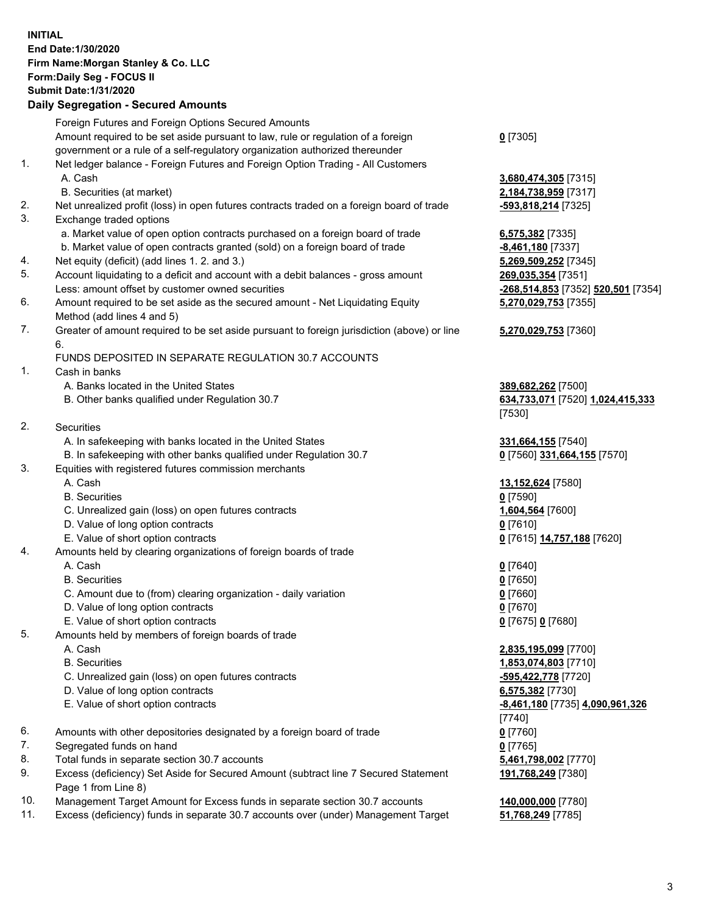#### **INITIAL End Date:1/30/2020 Firm Name:Morgan Stanley & Co. LLC Form:Daily Seg - FOCUS II Submit Date:1/31/2020 Daily Segregation - Secured Amounts** Foreign Futures and Foreign Options Secured Amounts Amount required to be set aside pursuant to law, rule or regulation of a foreign government or a rule of a self-regulatory organization authorized thereunder 1. Net ledger balance - Foreign Futures and Foreign Option Trading - All Customers A. Cash **3,680,474,305** [7315] B. Securities (at market) **2,184,738,959** [7317] 2. Net unrealized profit (loss) in open futures contracts traded on a foreign board of trade **-593,818,214** [7325] 3. Exchange traded options a. Market value of open option contracts purchased on a foreign board of trade **6,575,382** [7335] b. Market value of open contracts granted (sold) on a foreign board of trade **-8,461,180** [7337] 4. Net equity (deficit) (add lines 1. 2. and 3.) **5,269,509,252** [7345] 5. Account liquidating to a deficit and account with a debit balances - gross amount **269,035,354** [7351] Less: amount offset by customer owned securities **-268,514,853** [7352] **520,501** [7354] 6. Amount required to be set aside as the secured amount - Net Liquidating Equity Method (add lines 4 and 5) 7. Greater of amount required to be set aside pursuant to foreign jurisdiction (above) or line 6. FUNDS DEPOSITED IN SEPARATE REGULATION 30.7 ACCOUNTS 1. Cash in banks A. Banks located in the United States **389,682,262** [7500] B. Other banks qualified under Regulation 30.7 **634,733,071** [7520] **1,024,415,333** 2. Securities A. In safekeeping with banks located in the United States **331,664,155** [7540] B. In safekeeping with other banks qualified under Regulation 30.7 **0** [7560] **331,664,155** [7570]

# 3. Equities with registered futures commission merchants

- 
- B. Securities **0** [7590]
- C. Unrealized gain (loss) on open futures contracts **1,604,564** [7600]
- D. Value of long option contracts **0** [7610]
- E. Value of short option contracts **0** [7615] **14,757,188** [7620]
- 4. Amounts held by clearing organizations of foreign boards of trade

#### A. Cash **0** [7640]

- B. Securities **0** [7650]
- C. Amount due to (from) clearing organization daily variation **0** [7660]
- D. Value of long option contracts **0** [7670]
- E. Value of short option contracts **0** [7675] **0** [7680]
- 5. Amounts held by members of foreign boards of trade
	-
	-
	- C. Unrealized gain (loss) on open futures contracts **-595,422,778** [7720]
	- D. Value of long option contracts **6,575,382** [7730]
	- E. Value of short option contracts **-8,461,180** [7735] **4,090,961,326**
- 6. Amounts with other depositories designated by a foreign board of trade **0** [7760]
- 7. Segregated funds on hand **0** [7765]
- 8. Total funds in separate section 30.7 accounts **5,461,798,002** [7770]
- 9. Excess (deficiency) Set Aside for Secured Amount (subtract line 7 Secured Statement Page 1 from Line 8)
- 10. Management Target Amount for Excess funds in separate section 30.7 accounts **140,000,000** [7780]
- 11. Excess (deficiency) funds in separate 30.7 accounts over (under) Management Target **51,768,249** [7785]

**0** [7305]

**5,270,029,753** [7355]

### **5,270,029,753** [7360]

[7530]

A. Cash **13,152,624** [7580]

 A. Cash **2,835,195,099** [7700] B. Securities **1,853,074,803** [7710] [7740] **191,768,249** [7380]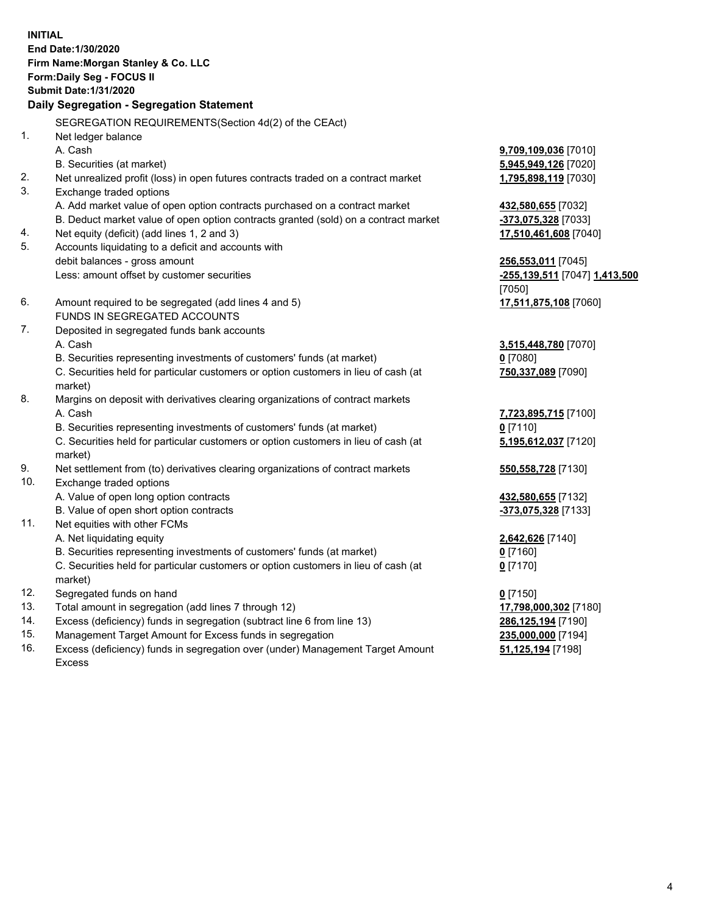**INITIAL End Date:1/30/2020 Firm Name:Morgan Stanley & Co. LLC Form:Daily Seg - FOCUS II Submit Date:1/31/2020 Daily Segregation - Segregation Statement** SEGREGATION REQUIREMENTS(Section 4d(2) of the CEAct) 1. Net ledger balance A. Cash **9,709,109,036** [7010] B. Securities (at market) **5,945,949,126** [7020] 2. Net unrealized profit (loss) in open futures contracts traded on a contract market **1,795,898,119** [7030] 3. Exchange traded options A. Add market value of open option contracts purchased on a contract market **432,580,655** [7032] B. Deduct market value of open option contracts granted (sold) on a contract market **-373,075,328** [7033] 4. Net equity (deficit) (add lines 1, 2 and 3) **17,510,461,608** [7040] 5. Accounts liquidating to a deficit and accounts with debit balances - gross amount **256,553,011** [7045] Less: amount offset by customer securities **-255,139,511** [7047] **1,413,500** [7050] 6. Amount required to be segregated (add lines 4 and 5) **17,511,875,108** [7060] FUNDS IN SEGREGATED ACCOUNTS 7. Deposited in segregated funds bank accounts A. Cash **3,515,448,780** [7070] B. Securities representing investments of customers' funds (at market) **0** [7080] C. Securities held for particular customers or option customers in lieu of cash (at market) **750,337,089** [7090] 8. Margins on deposit with derivatives clearing organizations of contract markets A. Cash **7,723,895,715** [7100] B. Securities representing investments of customers' funds (at market) **0** [7110] C. Securities held for particular customers or option customers in lieu of cash (at market) **5,195,612,037** [7120] 9. Net settlement from (to) derivatives clearing organizations of contract markets **550,558,728** [7130] 10. Exchange traded options A. Value of open long option contracts **432,580,655** [7132] B. Value of open short option contracts **-373,075,328** [7133] 11. Net equities with other FCMs A. Net liquidating equity **2,642,626** [7140] B. Securities representing investments of customers' funds (at market) **0** [7160] C. Securities held for particular customers or option customers in lieu of cash (at market) **0** [7170] 12. Segregated funds on hand **0** [7150] 13. Total amount in segregation (add lines 7 through 12) **17,798,000,302** [7180] 14. Excess (deficiency) funds in segregation (subtract line 6 from line 13) **286,125,194** [7190] 15. Management Target Amount for Excess funds in segregation **235,000,000** [7194]

16. Excess (deficiency) funds in segregation over (under) Management Target Amount Excess

**51,125,194** [7198]